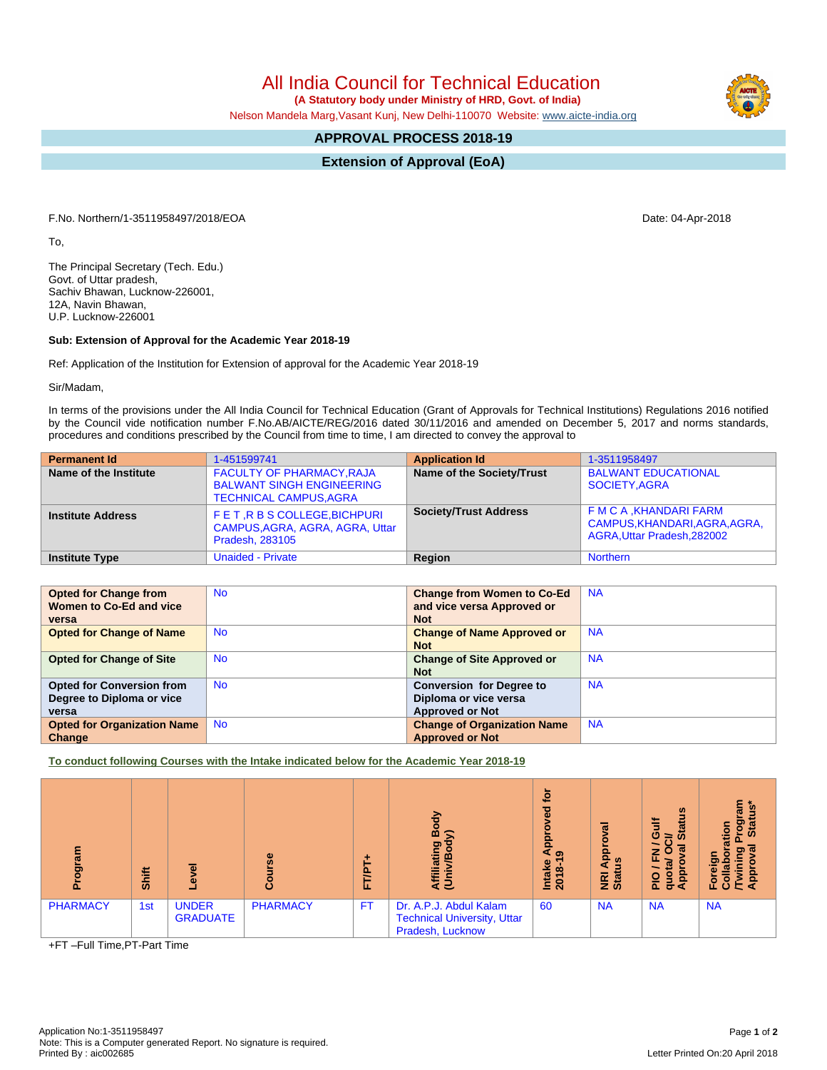All India Council for Technical Education

 **(A Statutory body under Ministry of HRD, Govt. of India)**

Nelson Mandela Marg,Vasant Kunj, New Delhi-110070 Website: [www.aicte-india.org](http://www.aicte-india.org)

## **APPROVAL PROCESS 2018-19**

**Extension of Approval (EoA)**

F.No. Northern/1-3511958497/2018/EOA Date: 04-Apr-2018

To,

The Principal Secretary (Tech. Edu.) Govt. of Uttar pradesh, Sachiv Bhawan, Lucknow-226001, 12A, Navin Bhawan, U.P. Lucknow-226001

## **Sub: Extension of Approval for the Academic Year 2018-19**

Ref: Application of the Institution for Extension of approval for the Academic Year 2018-19

Sir/Madam,

In terms of the provisions under the All India Council for Technical Education (Grant of Approvals for Technical Institutions) Regulations 2016 notified by the Council vide notification number F.No.AB/AICTE/REG/2016 dated 30/11/2016 and amended on December 5, 2017 and norms standards, procedures and conditions prescribed by the Council from time to time, I am directed to convey the approval to

| <b>Permanent Id</b>      | 1-451599741                                                                                           | <b>Application Id</b>        | 1-3511958497                                                                            |
|--------------------------|-------------------------------------------------------------------------------------------------------|------------------------------|-----------------------------------------------------------------------------------------|
| Name of the Institute    | <b>FACULTY OF PHARMACY, RAJA</b><br><b>BALWANT SINGH ENGINEERING</b><br><b>TECHNICAL CAMPUS, AGRA</b> | Name of the Society/Trust    | <b>BALWANT EDUCATIONAL</b><br>SOCIETY, AGRA                                             |
| <b>Institute Address</b> | FET, R B S COLLEGE, BICHPURI<br>CAMPUS, AGRA, AGRA, AGRA, Uttar<br>Pradesh, 283105                    | <b>Society/Trust Address</b> | F M C A , KHANDARI FARM<br>CAMPUS, KHANDARI, AGRA, AGRA,<br>AGRA, Uttar Pradesh, 282002 |
| <b>Institute Type</b>    | <b>Unaided - Private</b>                                                                              | Region                       | <b>Northern</b>                                                                         |

| <b>Opted for Change from</b>       | <b>No</b> | <b>Change from Women to Co-Ed</b>  | <b>NA</b> |
|------------------------------------|-----------|------------------------------------|-----------|
| Women to Co-Ed and vice            |           | and vice versa Approved or         |           |
| versa                              |           | <b>Not</b>                         |           |
| <b>Opted for Change of Name</b>    | <b>No</b> | <b>Change of Name Approved or</b>  | <b>NA</b> |
|                                    |           | <b>Not</b>                         |           |
| <b>Opted for Change of Site</b>    | <b>No</b> | <b>Change of Site Approved or</b>  | <b>NA</b> |
|                                    |           | <b>Not</b>                         |           |
| <b>Opted for Conversion from</b>   | <b>No</b> | <b>Conversion for Degree to</b>    | <b>NA</b> |
| Degree to Diploma or vice          |           | Diploma or vice versa              |           |
| versa                              |           | <b>Approved or Not</b>             |           |
| <b>Opted for Organization Name</b> | <b>No</b> | <b>Change of Organization Name</b> | <b>NA</b> |
| Change                             |           | <b>Approved or Not</b>             |           |

**To conduct following Courses with the Intake indicated below for the Academic Year 2018-19**

| ram<br>ā        | Shift |                                 | 8               | FT/PT     | 융<br>m<br>ත<br>m<br>Affiliatin<br>(Univ/B                                        | ē<br>Ѣ<br>윤<br>⋖<br>$\bullet$<br>Intake<br>2018-1 | ಸ<br>န္<br>w<br><b>E</b> at | $\boldsymbol{\omega}$<br><b>Jire</b><br>蒿<br>∍<br><b>in</b><br>ത<br>O<br>z<br>u.<br>ത<br>quon<br>App<br>P <sub>0</sub> | ε<br><u>ທ</u><br>ಹ<br>ಿ ಡ<br>ರಾ<br>tion<br>ത<br>ರಾ<br>ъ<br>휸<br>$\frac{1}{4}$<br>ပ |
|-----------------|-------|---------------------------------|-----------------|-----------|----------------------------------------------------------------------------------|---------------------------------------------------|-----------------------------|------------------------------------------------------------------------------------------------------------------------|------------------------------------------------------------------------------------|
| <b>PHARMACY</b> | 1st   | <b>UNDER</b><br><b>GRADUATE</b> | <b>PHARMACY</b> | <b>FT</b> | Dr. A.P.J. Abdul Kalam<br><b>Technical University, Uttar</b><br>Pradesh, Lucknow | 60                                                | <b>NA</b>                   | <b>NA</b>                                                                                                              | <b>NA</b>                                                                          |

+FT –Full Time,PT-Part Time